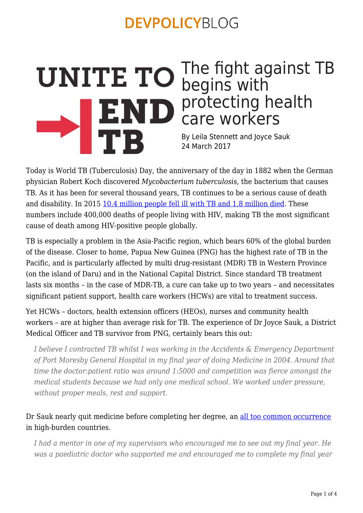### The fight against TB begins with END protecting health care workers **TB** By Leila Stennett and Joyce Sauk

24 March 2017

Today is World TB (Tuberculosis) Day, the anniversary of the day in 1882 when the German physician Robert Koch discovered *Mycobacterium tuberculosis*, the bacterium that causes TB. As it has been for several thousand years, TB continues to be a serious cause of death and disability. In 2015 [10.4 million people fell ill with TB and 1.8 million died.](http://www.who.int/tb/publications/global_report/gtbr2016_executive_summary.pdf?ua=1) These numbers include 400,000 deaths of people living with HIV, making TB the most significant cause of death among HIV-positive people globally.

TB is especially a problem in the Asia-Pacific region, which bears 60% of the global burden of the disease. Closer to home, Papua New Guinea (PNG) has the highest rate of TB in the Pacific, and is particularly affected by multi drug-resistant (MDR) TB in Western Province (on the island of Daru) and in the National Capital District. Since standard TB treatment lasts six months – in the case of MDR-TB, a cure can take up to two years – and necessitates significant patient support, health care workers (HCWs) are vital to treatment success.

Yet HCWs – doctors, health extension officers (HEOs), nurses and community health workers – are at higher than average risk for TB. The experience of Dr Joyce Sauk, a District Medical Officer and TB survivor from PNG, certainly bears this out:

*I believe I contracted TB whilst I was working in the Accidents & Emergency Department of Port Moresby General Hospital in my final year of doing Medicine in 2004. Around that time the doctor:patient ratio was around 1:5000 and competition was fierce amongst the medical students because we had only one medical school. We worked under pressure, without proper meals, rest and support.*

#### Dr Sauk nearly quit medicine before completing her degree, an [all too common occurrence](http://www.stoptb.org/assets/documents/resources/publications/acsm/KPBrief_HealthCareWorker_ENG_WEB.pdf) in high-burden countries.

*I had a mentor in one of my supervisors who encouraged me to see out my final year. He was a paediatric doctor who supported me and encouraged me to complete my final year*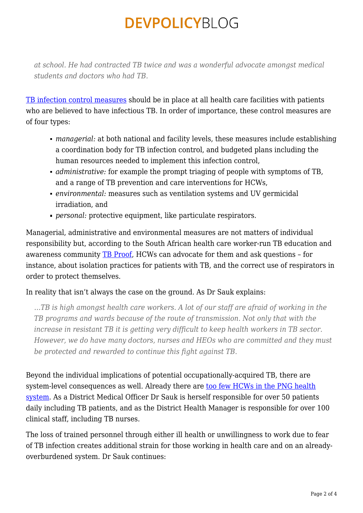*at school. He had contracted TB twice and was a wonderful advocate amongst medical students and doctors who had TB.*

[TB infection control measures](http://apps.who.int/iris/bitstream/10665/44148/1/9789241598323_eng.pdf) should be in place at all health care facilities with patients who are believed to have infectious TB. In order of importance, these control measures are of four types:

- *managerial:* at both national and facility levels, these measures include establishing a coordination body for TB infection control, and budgeted plans including the human resources needed to implement this infection control,
- *administrative:* for example the prompt triaging of people with symptoms of TB, and a range of TB prevention and care interventions for HCWs,
- *environmental:* measures such as ventilation systems and UV germicidal irradiation, and
- *personal:* protective equipment, like particulate respirators.

Managerial, administrative and environmental measures are not matters of individual responsibility but, according to the South African health care worker-run TB education and awareness community **TB Proof**, HCWs can advocate for them and ask questions - for instance, about isolation practices for patients with TB, and the correct use of respirators in order to protect themselves.

#### In reality that isn't always the case on the ground. As Dr Sauk explains:

*…TB is high amongst health care workers. A lot of our staff are afraid of working in the TB programs and wards because of the route of transmission. Not only that with the increase in resistant TB it is getting very difficult to keep health workers in TB sector. However, we do have many doctors, nurses and HEOs who are committed and they must be protected and rewarded to continue this fight against TB.*

Beyond the individual implications of potential occupationally-acquired TB, there are system-level consequences as well. Already there are [too few HCWs in the PNG health](http://www.who.int/workforcealliance/countries/png/en/) [system.](http://www.who.int/workforcealliance/countries/png/en/) As a District Medical Officer Dr Sauk is herself responsible for over 50 patients daily including TB patients, and as the District Health Manager is responsible for over 100 clinical staff, including TB nurses.

The loss of trained personnel through either ill health or unwillingness to work due to fear of TB infection creates additional strain for those working in health care and on an alreadyoverburdened system. Dr Sauk continues: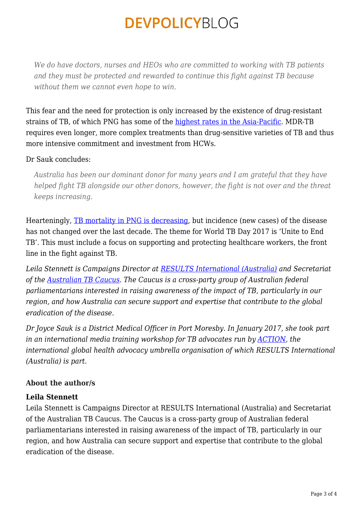*We do have doctors, nurses and HEOs who are committed to working with TB patients and they must be protected and rewarded to continue this fight against TB because without them we cannot even hope to win.*

This fear and the need for protection is only increased by the existence of drug-resistant strains of TB, of which PNG has some of the [highest rates in the Asia-Pacific](http://www.who.int/tb/publications/global_report/en/). MDR-TB requires even longer, more complex treatments than drug-sensitive varieties of TB and thus more intensive commitment and investment from HCWs.

#### Dr Sauk concludes:

*Australia has been our dominant donor for many years and I am grateful that they have helped fight TB alongside our other donors, however, the fight is not over and the threat keeps increasing.*

Hearteningly, [TB mortality in PNG is decreasing,](https://extranet.who.int/sree/Reports?op=Replet&name=/WHO_HQ_Reports/G2/PROD/EXT/TBCountryProfile&ISO2=pg&outtype=pdf) but incidence (new cases) of the disease has not changed over the last decade. The theme for World TB Day 2017 is 'Unite to End TB'. This must include a focus on supporting and protecting healthcare workers, the front line in the fight against TB.

*Leila Stennett is Campaigns Director at [RESULTS International \(Australia\)](http://www.results.org.au/) and Secretariat of the [Australian TB Caucus](http://www.results.org.au/the-australian-tb-caucus/). The Caucus is a cross-party group of Australian federal parliamentarians interested in raising awareness of the impact of TB, particularly in our region, and how Australia can secure support and expertise that contribute to the global eradication of the disease.*

*Dr Joyce Sauk is a District Medical Officer in Port Moresby. In January 2017, she took part in an international media training workshop for TB advocates run by [ACTION,](http://www.action.org/) the international global health advocacy umbrella organisation of which RESULTS International (Australia) is part.*

#### **About the author/s**

#### **Leila Stennett**

Leila Stennett is Campaigns Director at RESULTS International (Australia) and Secretariat of the Australian TB Caucus. The Caucus is a cross-party group of Australian federal parliamentarians interested in raising awareness of the impact of TB, particularly in our region, and how Australia can secure support and expertise that contribute to the global eradication of the disease.